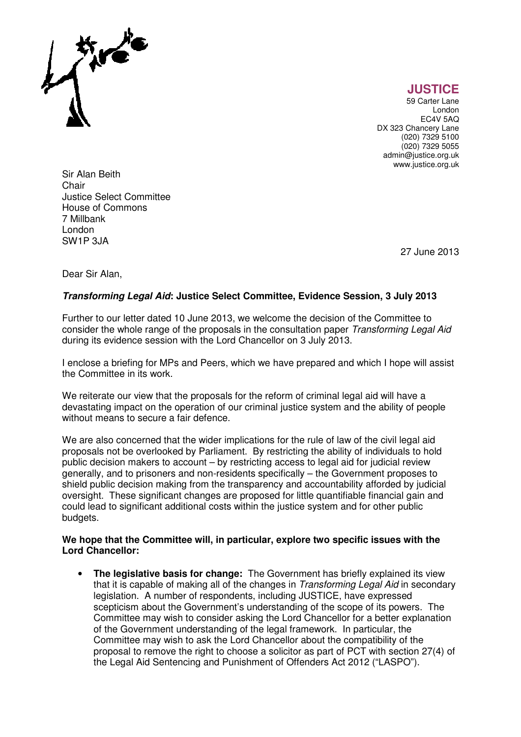

**JUSTICE** 

59 Carter Lane London EC4V 5AQ DX 323 Chancery Lane (020) 7329 5100 (020) 7329 5055 admin@justice.org.uk www.justice.org.uk

Sir Alan Beith **Chair** Justice Select Committee House of Commons 7 Millbank London SW1P 3JA

27 June 2013

Dear Sir Alan,

## **Transforming Legal Aid: Justice Select Committee, Evidence Session, 3 July 2013**

Further to our letter dated 10 June 2013, we welcome the decision of the Committee to consider the whole range of the proposals in the consultation paper Transforming Legal Aid during its evidence session with the Lord Chancellor on 3 July 2013.

I enclose a briefing for MPs and Peers, which we have prepared and which I hope will assist the Committee in its work.

We reiterate our view that the proposals for the reform of criminal legal aid will have a devastating impact on the operation of our criminal justice system and the ability of people without means to secure a fair defence.

We are also concerned that the wider implications for the rule of law of the civil legal aid proposals not be overlooked by Parliament. By restricting the ability of individuals to hold public decision makers to account – by restricting access to legal aid for judicial review generally, and to prisoners and non-residents specifically – the Government proposes to shield public decision making from the transparency and accountability afforded by judicial oversight. These significant changes are proposed for little quantifiable financial gain and could lead to significant additional costs within the justice system and for other public budgets.

## **We hope that the Committee will, in particular, explore two specific issues with the Lord Chancellor:**

• **The legislative basis for change:** The Government has briefly explained its view that it is capable of making all of the changes in Transforming Legal Aid in secondary legislation. A number of respondents, including JUSTICE, have expressed scepticism about the Government's understanding of the scope of its powers. The Committee may wish to consider asking the Lord Chancellor for a better explanation of the Government understanding of the legal framework. In particular, the Committee may wish to ask the Lord Chancellor about the compatibility of the proposal to remove the right to choose a solicitor as part of PCT with section 27(4) of the Legal Aid Sentencing and Punishment of Offenders Act 2012 ("LASPO").